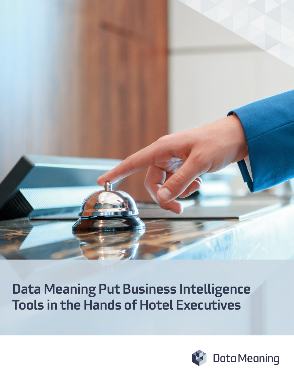

# Data Meaning Put Business Intelligence Tools in the Hands of Hotel Executives

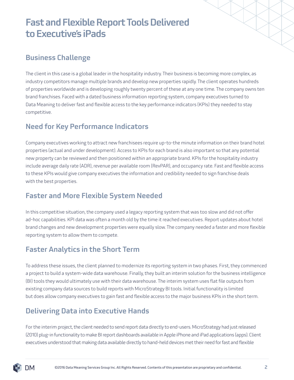# Fast and Flexible Report Tools Delivered to Executive's iPads

### Business Challenge

The client in this case is a global leader in the hospitality industry. Their business is becoming more complex, as industry competitors manage multiple brands and develop new properties rapidly. The client operates hundreds of properties worldwide and is developing roughly twenty percent of these at any one time. The company owns ten brand franchises. Faced with a dated business information reporting system, company executives turned to Data Meaning to deliver fast and flexible access to the key performance indicators (KPIs) they needed to stay competitive.

#### Need for Key Performance Indicators

Company executives working to attract new franchisees require up-to-the minute information on their brand hotel properties (actual and under development). Access to KPIs for each brand is also important so that any potential new property can be reviewed and then positioned within an appropriate brand. KPIs for the hospitality industry include average daily rate (ADR), revenue per available room (RevPAR), and occupancy rate. Fast and flexible access to these KPIs would give company executives the information and credibility needed to sign franchise deals with the best properties.

### Faster and More Flexible System Needed

In this competitive situation, the company used a legacy reporting system that was too slow and did not offer ad-hoc capabilities. KPI data was often a month old by the time it reached executives. Report updates about hotel brand changes and new development properties were equally slow. The company needed a faster and more flexible reporting system to allow them to compete.

### Faster Analytics in the Short Term

To address these issues, the client planned to modernize its reporting system in two phases. First, they commenced a project to build a system-wide data warehouse. Finally, they built an interim solution for the business intelligence (BI) tools they would ultimately use with their data warehouse. The interim system uses flat file outputs from existing company data sources to build reports with MicroStrategy BI tools. Initial functionality is limited but does allow company executives to gain fast and flexible access to the major business KPIs in the short term.

### Delivering Data into Executive Hands

For the interim project, the client needed to send report data directly to end-users. MicroStrategy had just released (2010) plug-in functionality to make BI report dashboards available in Apple iPhone and iPad applications (apps). Client executives understood that making data available directly to hand-held devices met their need for fast and flexible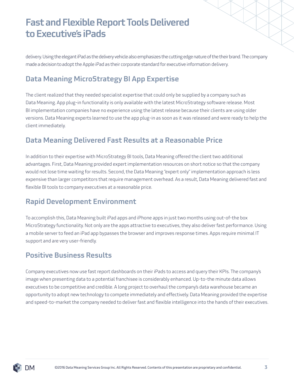# Fast and Flexible Report Tools Delivered to Executive's iPads

delivery. Using the elegant iPad as the delivery vehicle also emphasizes the cutting edge nature of the their brand. The company made a decision to adopt the Apple iPad as their corporate standard for executive information delivery.

### Data Meaning MicroStrategy BI App Expertise

The client realized that they needed specialist expertise that could only be supplied by a company such as Data Meaning. App plug-in functionality is only available with the latest MicroStrategy software release. Most BI implementation companies have no experience using the latest release because their clients are using older versions. Data Meaning experts learned to use the app plug-in as soon as it was released and were ready to help the client immediately.

### Data Meaning Delivered Fast Results at a Reasonable Price

In addition to their expertise with MicroStrategy BI tools, Data Meaning offered the client two additional advantages. First, Data Meaning provided expert implementation resources on short notice so that the company would not lose time waiting for results. Second, the Data Meaning "expert only" implementation approach is less expensive than larger competitors that require management overhead. As a result, Data Meaning delivered fast and flexible BI tools to company executives at a reasonable price.

### Rapid Development Environment

To accomplish this, Data Meaning built iPad apps and iPhone apps in just two months using out-of-the box MicroStrategy functionality. Not only are the apps attractive to executives, they also deliver fast performance. Using a mobile server to feed an iPad app bypasses the browser and improves response times. Apps require minimal IT support and are very user-friendly.

#### Positive Business Results

Company executives now use fast report dashboards on their iPads to access and query their KPIs. The company's image when presenting data to a potential franchisee is considerably enhanced. Up-to-the minute data allows executives to be competitive and credible. A long project to overhaul the company's data warehouse became an opportunity to adopt new technology to compete immediately and effectively. Data Meaning provided the expertise and speed-to-market the company needed to deliver fast and flexible intelligence into the hands of their executives.